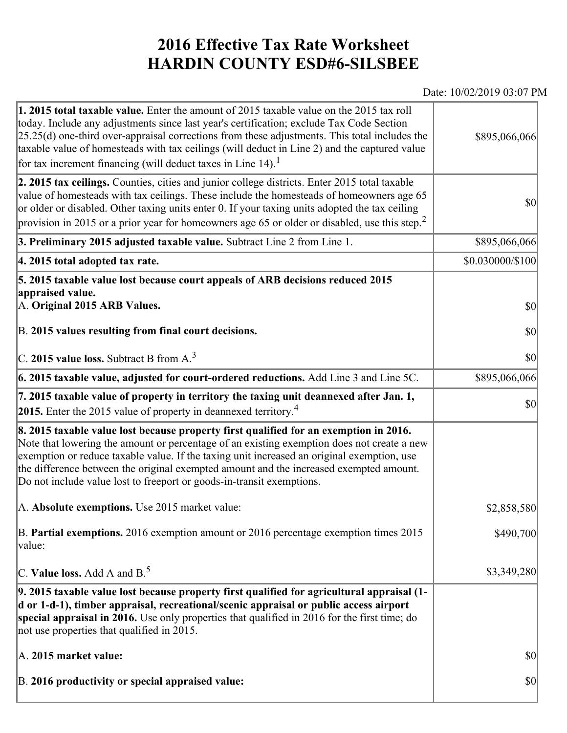## **2016 Effective Tax Rate Worksheet HARDIN COUNTY ESD#6-SILSBEE**

## Date: 10/02/2019 03:07 PM

| 1. 2015 total taxable value. Enter the amount of 2015 taxable value on the 2015 tax roll<br>today. Include any adjustments since last year's certification; exclude Tax Code Section<br>$[25.25(d)$ one-third over-appraisal corrections from these adjustments. This total includes the<br>taxable value of homesteads with tax ceilings (will deduct in Line 2) and the captured value<br>for tax increment financing (will deduct taxes in Line $14$ ). <sup>1</sup> | \$895,066,066    |
|-------------------------------------------------------------------------------------------------------------------------------------------------------------------------------------------------------------------------------------------------------------------------------------------------------------------------------------------------------------------------------------------------------------------------------------------------------------------------|------------------|
| 2. 2015 tax ceilings. Counties, cities and junior college districts. Enter 2015 total taxable<br>value of homesteads with tax ceilings. These include the homesteads of homeowners age 65<br>or older or disabled. Other taxing units enter 0. If your taxing units adopted the tax ceiling<br>provision in 2015 or a prior year for homeowners age 65 or older or disabled, use this step. <sup>2</sup>                                                                | \$0              |
| 3. Preliminary 2015 adjusted taxable value. Subtract Line 2 from Line 1.                                                                                                                                                                                                                                                                                                                                                                                                | \$895,066,066    |
| 4. 2015 total adopted tax rate.                                                                                                                                                                                                                                                                                                                                                                                                                                         | \$0.030000/\$100 |
| 5. 2015 taxable value lost because court appeals of ARB decisions reduced 2015<br>appraised value.<br>A. Original 2015 ARB Values.<br>B. 2015 values resulting from final court decisions.                                                                                                                                                                                                                                                                              | \$0<br>\$0       |
| C. 2015 value loss. Subtract B from A. <sup>3</sup>                                                                                                                                                                                                                                                                                                                                                                                                                     | \$0              |
| 6. 2015 taxable value, adjusted for court-ordered reductions. Add Line 3 and Line 5C.                                                                                                                                                                                                                                                                                                                                                                                   | \$895,066,066    |
| 7. 2015 taxable value of property in territory the taxing unit deannexed after Jan. 1,<br><b>2015.</b> Enter the 2015 value of property in deannexed territory. <sup>4</sup>                                                                                                                                                                                                                                                                                            | \$0              |
| 8. 2015 taxable value lost because property first qualified for an exemption in 2016.<br>Note that lowering the amount or percentage of an existing exemption does not create a new<br>exemption or reduce taxable value. If the taxing unit increased an original exemption, use<br>the difference between the original exempted amount and the increased exempted amount.<br>Do not include value lost to freeport or goods-in-transit exemptions.                    |                  |
| A. Absolute exemptions. Use 2015 market value:                                                                                                                                                                                                                                                                                                                                                                                                                          | \$2,858,580      |
| B. Partial exemptions. 2016 exemption amount or 2016 percentage exemption times 2015<br>value:                                                                                                                                                                                                                                                                                                                                                                          | \$490,700        |
| C. Value loss. Add A and $B^5$ .                                                                                                                                                                                                                                                                                                                                                                                                                                        | \$3,349,280      |
| 9. 2015 taxable value lost because property first qualified for agricultural appraisal (1-<br>d or 1-d-1), timber appraisal, recreational/scenic appraisal or public access airport<br>special appraisal in 2016. Use only properties that qualified in 2016 for the first time; do<br>not use properties that qualified in 2015.                                                                                                                                       |                  |
| A. 2015 market value:                                                                                                                                                                                                                                                                                                                                                                                                                                                   | \$0              |
| B. 2016 productivity or special appraised value:                                                                                                                                                                                                                                                                                                                                                                                                                        | \$0              |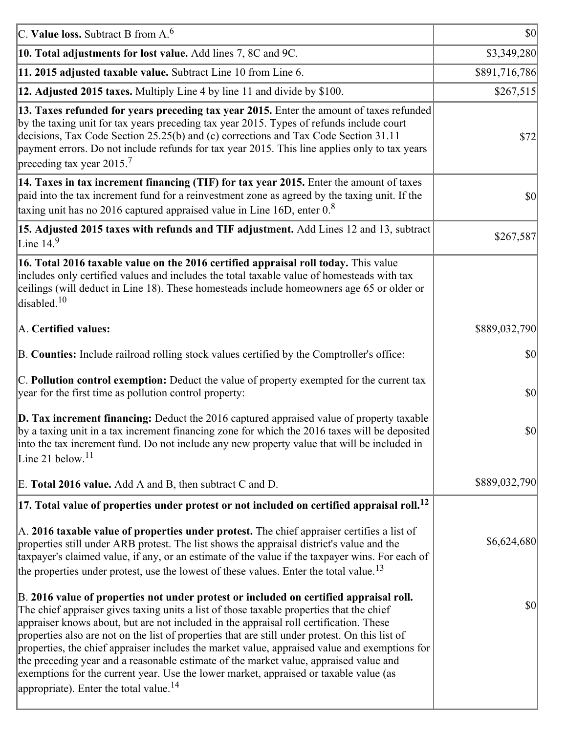| C. Value loss. Subtract B from $A6$                                                                                                                                                                                                                                                                                                                                                                                                                                                                                                                                                                                                                                                                                      | $ 10\rangle$  |
|--------------------------------------------------------------------------------------------------------------------------------------------------------------------------------------------------------------------------------------------------------------------------------------------------------------------------------------------------------------------------------------------------------------------------------------------------------------------------------------------------------------------------------------------------------------------------------------------------------------------------------------------------------------------------------------------------------------------------|---------------|
| 10. Total adjustments for lost value. Add lines 7, 8C and 9C.                                                                                                                                                                                                                                                                                                                                                                                                                                                                                                                                                                                                                                                            | \$3,349,280   |
| 11. 2015 adjusted taxable value. Subtract Line 10 from Line 6.                                                                                                                                                                                                                                                                                                                                                                                                                                                                                                                                                                                                                                                           | \$891,716,786 |
| 12. Adjusted 2015 taxes. Multiply Line 4 by line 11 and divide by \$100.                                                                                                                                                                                                                                                                                                                                                                                                                                                                                                                                                                                                                                                 | \$267,515     |
| 13. Taxes refunded for years preceding tax year 2015. Enter the amount of taxes refunded<br>by the taxing unit for tax years preceding tax year 2015. Types of refunds include court<br>decisions, Tax Code Section 25.25(b) and (c) corrections and Tax Code Section 31.11<br>payment errors. Do not include refunds for tax year 2015. This line applies only to tax years<br>preceding tax year 2015. <sup>7</sup>                                                                                                                                                                                                                                                                                                    | \$72          |
| 14. Taxes in tax increment financing (TIF) for tax year 2015. Enter the amount of taxes<br>paid into the tax increment fund for a reinvestment zone as agreed by the taxing unit. If the<br>taxing unit has no 2016 captured appraised value in Line 16D, enter $0.8$                                                                                                                                                                                                                                                                                                                                                                                                                                                    | 30            |
| 15. Adjusted 2015 taxes with refunds and TIF adjustment. Add Lines 12 and 13, subtract<br>Line $149$                                                                                                                                                                                                                                                                                                                                                                                                                                                                                                                                                                                                                     | \$267,587     |
| 16. Total 2016 taxable value on the 2016 certified appraisal roll today. This value<br>includes only certified values and includes the total taxable value of homesteads with tax<br>ceilings (will deduct in Line 18). These homesteads include homeowners age 65 or older or<br>disabled. <sup>10</sup>                                                                                                                                                                                                                                                                                                                                                                                                                |               |
| A. Certified values:                                                                                                                                                                                                                                                                                                                                                                                                                                                                                                                                                                                                                                                                                                     | \$889,032,790 |
| B. Counties: Include railroad rolling stock values certified by the Comptroller's office:                                                                                                                                                                                                                                                                                                                                                                                                                                                                                                                                                                                                                                | \$0           |
| C. Pollution control exemption: Deduct the value of property exempted for the current tax<br>year for the first time as pollution control property:                                                                                                                                                                                                                                                                                                                                                                                                                                                                                                                                                                      | $ 10\rangle$  |
| $\vert$ D. Tax increment financing: Deduct the 2016 captured appraised value of property taxable<br>by a taxing unit in a tax increment financing zone for which the 2016 taxes will be deposited<br>into the tax increment fund. Do not include any new property value that will be included in<br>Line 21 below. <sup>11</sup>                                                                                                                                                                                                                                                                                                                                                                                         | \$0           |
| E. Total 2016 value. Add A and B, then subtract C and D.                                                                                                                                                                                                                                                                                                                                                                                                                                                                                                                                                                                                                                                                 | \$889,032,790 |
| $ 17$ . Total value of properties under protest or not included on certified appraisal roll. <sup>12</sup>                                                                                                                                                                                                                                                                                                                                                                                                                                                                                                                                                                                                               |               |
| A. 2016 taxable value of properties under protest. The chief appraiser certifies a list of<br>properties still under ARB protest. The list shows the appraisal district's value and the<br>taxpayer's claimed value, if any, or an estimate of the value if the taxpayer wins. For each of<br>the properties under protest, use the lowest of these values. Enter the total value. <sup>13</sup>                                                                                                                                                                                                                                                                                                                         | \$6,624,680   |
| B. 2016 value of properties not under protest or included on certified appraisal roll.<br>The chief appraiser gives taxing units a list of those taxable properties that the chief<br>appraiser knows about, but are not included in the appraisal roll certification. These<br>properties also are not on the list of properties that are still under protest. On this list of<br>properties, the chief appraiser includes the market value, appraised value and exemptions for<br>the preceding year and a reasonable estimate of the market value, appraised value and<br>exemptions for the current year. Use the lower market, appraised or taxable value (as<br>appropriate). Enter the total value. <sup>14</sup> | \$0           |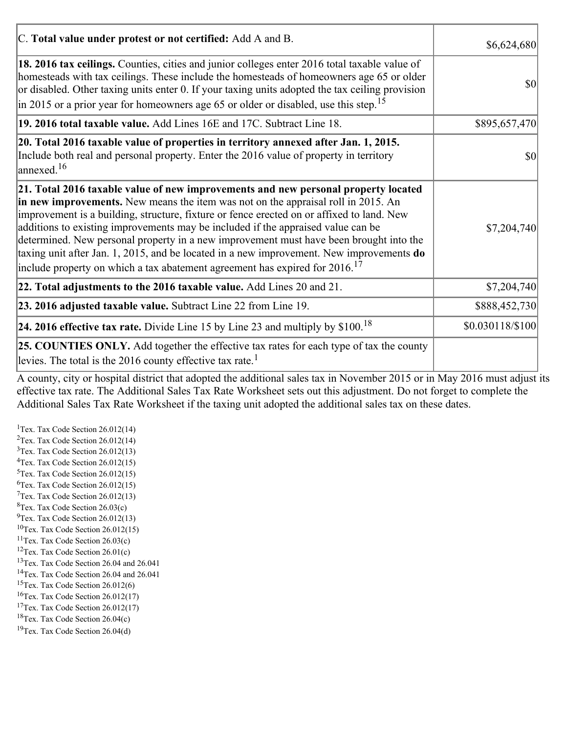| C. Total value under protest or not certified: Add A and B.                                                                                                                                                                                                                                                                                                                                                                                                                                                                                                                                                                                    | \$6,624,680      |
|------------------------------------------------------------------------------------------------------------------------------------------------------------------------------------------------------------------------------------------------------------------------------------------------------------------------------------------------------------------------------------------------------------------------------------------------------------------------------------------------------------------------------------------------------------------------------------------------------------------------------------------------|------------------|
| 18. 2016 tax ceilings. Counties, cities and junior colleges enter 2016 total taxable value of<br>homesteads with tax ceilings. These include the homesteads of homeowners age 65 or older<br>or disabled. Other taxing units enter 0. If your taxing units adopted the tax ceiling provision<br>$\left  \text{in } 2015 \text{ or a prior year for home owners age } 65 \text{ or older or disabled, use this step.} \right ^{15}$                                                                                                                                                                                                             | \$0              |
| 19. 2016 total taxable value. Add Lines 16E and 17C. Subtract Line 18.                                                                                                                                                                                                                                                                                                                                                                                                                                                                                                                                                                         | \$895,657,470    |
| 20. Total 2016 taxable value of properties in territory annexed after Jan. 1, 2015.<br>Include both real and personal property. Enter the 2016 value of property in territory<br>$\vert$ annexed. <sup>16</sup>                                                                                                                                                                                                                                                                                                                                                                                                                                | $ 10\rangle$     |
| 21. Total 2016 taxable value of new improvements and new personal property located<br>in new improvements. New means the item was not on the appraisal roll in 2015. An<br>improvement is a building, structure, fixture or fence erected on or affixed to land. New<br>additions to existing improvements may be included if the appraised value can be<br>determined. New personal property in a new improvement must have been brought into the<br>taxing unit after Jan. 1, 2015, and be located in a new improvement. New improvements $do$<br>include property on which a tax abatement agreement has expired for $2016$ . <sup>17</sup> | \$7,204,740      |
| 22. Total adjustments to the 2016 taxable value. Add Lines 20 and 21.                                                                                                                                                                                                                                                                                                                                                                                                                                                                                                                                                                          | \$7,204,740      |
| 23. 2016 adjusted taxable value. Subtract Line 22 from Line 19.                                                                                                                                                                                                                                                                                                                                                                                                                                                                                                                                                                                | \$888,452,730    |
| <b>24. 2016 effective tax rate.</b> Divide Line 15 by Line 23 and multiply by $$100$ . <sup>18</sup>                                                                                                                                                                                                                                                                                                                                                                                                                                                                                                                                           | \$0.030118/\$100 |
| <b>25. COUNTIES ONLY.</b> Add together the effective tax rates for each type of tax the county<br>levies. The total is the 2016 county effective tax rate. <sup>1</sup>                                                                                                                                                                                                                                                                                                                                                                                                                                                                        |                  |

A county, city or hospital district that adopted the additional sales tax in November 2015 or in May 2016 must adjust its effective tax rate. The Additional Sales Tax Rate Worksheet sets out this adjustment. Do not forget to complete the Additional Sales Tax Rate Worksheet if the taxing unit adopted the additional sales tax on these dates.

<sup>1</sup>Tex. Tax Code Section  $26.012(14)$ <sup>2</sup>Tex. Tax Code Section  $26.012(14)$  $3$ Tex. Tax Code Section 26.012(13)  ${}^{4}$ Tex. Tax Code Section 26.012(15)  $5$ Tex. Tax Code Section 26.012(15)  ${}^{6}$ Tex. Tax Code Section 26.012(15)  $7$ Tex. Tax Code Section 26.012(13)  ${}^{8}$ Tex. Tax Code Section 26.03(c)  $^{9}$ Tex. Tax Code Section 26.012(13)  $10$ Tex. Tax Code Section 26.012(15) <sup>11</sup>Tex. Tax Code Section  $26.03(c)$ <sup>12</sup>Tex. Tax Code Section  $26.01(c)$ <sup>13</sup>Tex. Tax Code Section 26.04 and 26.041 <sup>14</sup>Tex. Tax Code Section 26.04 and 26.041 <sup>15</sup>Tex. Tax Code Section  $26.012(6)$  $16$ Tex. Tax Code Section 26.012(17) <sup>17</sup>Tex. Tax Code Section  $26.012(17)$ <sup>18</sup>Tex. Tax Code Section 26.04(c) <sup>19</sup>Tex. Tax Code Section 26.04(d)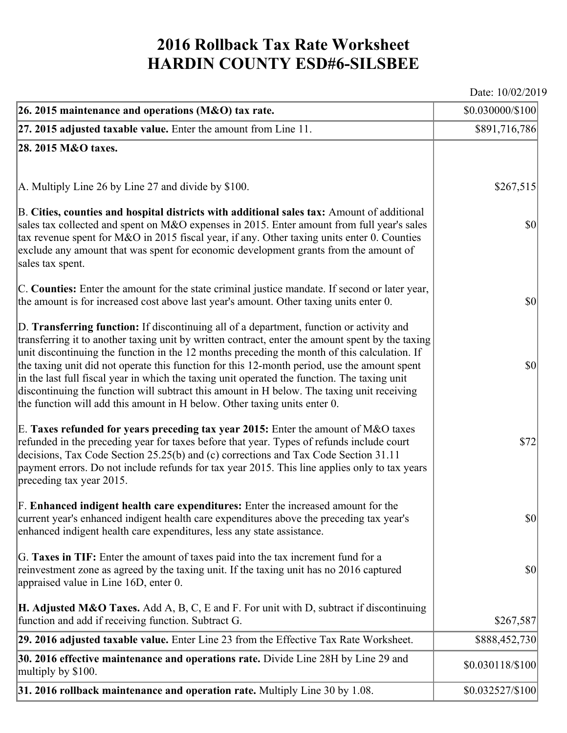## **2016 Rollback Tax Rate Worksheet HARDIN COUNTY ESD#6-SILSBEE**

Date: 10/02/2019

| 26. 2015 maintenance and operations ( $M&O$ ) tax rate.                                                                                                                                                                                                                                                                                                                                                                                                                                                                                                                                                                                                                 | \$0.030000/\$100                    |
|-------------------------------------------------------------------------------------------------------------------------------------------------------------------------------------------------------------------------------------------------------------------------------------------------------------------------------------------------------------------------------------------------------------------------------------------------------------------------------------------------------------------------------------------------------------------------------------------------------------------------------------------------------------------------|-------------------------------------|
| $ 27.2015$ adjusted taxable value. Enter the amount from Line 11.                                                                                                                                                                                                                                                                                                                                                                                                                                                                                                                                                                                                       | \$891,716,786                       |
| 28. 2015 M&O taxes.                                                                                                                                                                                                                                                                                                                                                                                                                                                                                                                                                                                                                                                     |                                     |
|                                                                                                                                                                                                                                                                                                                                                                                                                                                                                                                                                                                                                                                                         |                                     |
| $ A$ . Multiply Line 26 by Line 27 and divide by \$100.                                                                                                                                                                                                                                                                                                                                                                                                                                                                                                                                                                                                                 | \$267,515                           |
| B. Cities, counties and hospital districts with additional sales tax: Amount of additional<br>sales tax collected and spent on M&O expenses in 2015. Enter amount from full year's sales<br>tax revenue spent for M&O in 2015 fiscal year, if any. Other taxing units enter 0. Counties<br>exclude any amount that was spent for economic development grants from the amount of<br>sales tax spent.                                                                                                                                                                                                                                                                     | $ 10\rangle$                        |
| C. Counties: Enter the amount for the state criminal justice mandate. If second or later year,<br>the amount is for increased cost above last year's amount. Other taxing units enter 0.                                                                                                                                                                                                                                                                                                                                                                                                                                                                                | $ 10\rangle$                        |
| D. Transferring function: If discontinuing all of a department, function or activity and<br>transferring it to another taxing unit by written contract, enter the amount spent by the taxing<br>unit discontinuing the function in the 12 months preceding the month of this calculation. If<br>the taxing unit did not operate this function for this 12-month period, use the amount spent<br>in the last full fiscal year in which the taxing unit operated the function. The taxing unit<br>discontinuing the function will subtract this amount in H below. The taxing unit receiving<br>the function will add this amount in H below. Other taxing units enter 0. | $ 10\rangle$                        |
| E. Taxes refunded for years preceding tax year 2015: Enter the amount of M&O taxes<br>refunded in the preceding year for taxes before that year. Types of refunds include court<br>decisions, Tax Code Section 25.25(b) and (c) corrections and Tax Code Section 31.11<br>payment errors. Do not include refunds for tax year 2015. This line applies only to tax years<br>preceding tax year 2015.                                                                                                                                                                                                                                                                     | \$72                                |
| F. Enhanced indigent health care expenditures: Enter the increased amount for the<br>current year's enhanced indigent health care expenditures above the preceding tax year's<br>enhanced indigent health care expenditures, less any state assistance.                                                                                                                                                                                                                                                                                                                                                                                                                 | $\vert \mathbf{S} \mathbf{0} \vert$ |
| G. Taxes in TIF: Enter the amount of taxes paid into the tax increment fund for a<br>reinvestment zone as agreed by the taxing unit. If the taxing unit has no 2016 captured<br>appraised value in Line 16D, enter 0.                                                                                                                                                                                                                                                                                                                                                                                                                                                   | $ 10\rangle$                        |
| <b>H. Adjusted M&amp;O Taxes.</b> Add A, B, C, E and F. For unit with D, subtract if discontinuing<br>function and add if receiving function. Subtract G.                                                                                                                                                                                                                                                                                                                                                                                                                                                                                                               | \$267,587                           |
| 29. 2016 adjusted taxable value. Enter Line 23 from the Effective Tax Rate Worksheet.                                                                                                                                                                                                                                                                                                                                                                                                                                                                                                                                                                                   | \$888,452,730                       |
| 30. 2016 effective maintenance and operations rate. Divide Line 28H by Line 29 and<br>multiply by \$100.                                                                                                                                                                                                                                                                                                                                                                                                                                                                                                                                                                | \$0.030118/\$100                    |
| 31. 2016 rollback maintenance and operation rate. Multiply Line 30 by 1.08.                                                                                                                                                                                                                                                                                                                                                                                                                                                                                                                                                                                             | \$0.032527/\$100                    |